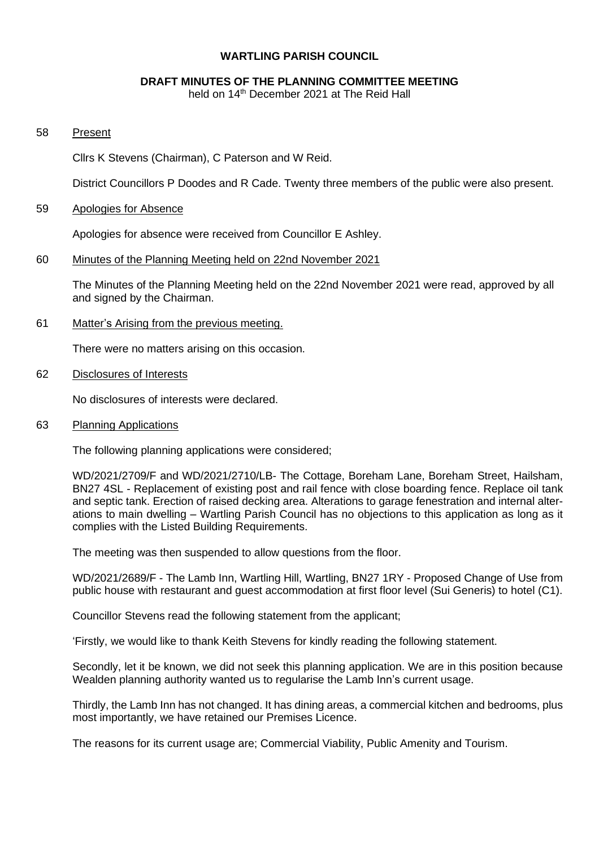### **WARTLING PARISH COUNCIL**

#### **DRAFT MINUTES OF THE PLANNING COMMITTEE MEETING**

held on 14<sup>th</sup> December 2021 at The Reid Hall

### 58 Present

Cllrs K Stevens (Chairman), C Paterson and W Reid.

District Councillors P Doodes and R Cade. Twenty three members of the public were also present.

#### 59 Apologies for Absence

Apologies for absence were received from Councillor E Ashley.

### 60 Minutes of the Planning Meeting held on 22nd November 2021

The Minutes of the Planning Meeting held on the 22nd November 2021 were read, approved by all and signed by the Chairman.

61 Matter's Arising from the previous meeting.

There were no matters arising on this occasion.

62 Disclosures of Interests

No disclosures of interests were declared.

63 Planning Applications

The following planning applications were considered;

WD/2021/2709/F and WD/2021/2710/LB- The Cottage, Boreham Lane, Boreham Street, Hailsham, BN27 4SL - Replacement of existing post and rail fence with close boarding fence. Replace oil tank and septic tank. Erection of raised decking area. Alterations to garage fenestration and internal alterations to main dwelling – Wartling Parish Council has no objections to this application as long as it complies with the Listed Building Requirements.

The meeting was then suspended to allow questions from the floor.

WD/2021/2689/F - The Lamb Inn, Wartling Hill, Wartling, BN27 1RY - Proposed Change of Use from public house with restaurant and guest accommodation at first floor level (Sui Generis) to hotel (C1).

Councillor Stevens read the following statement from the applicant;

'Firstly, we would like to thank Keith Stevens for kindly reading the following statement.

Secondly, let it be known, we did not seek this planning application. We are in this position because Wealden planning authority wanted us to regularise the Lamb Inn's current usage.

Thirdly, the Lamb Inn has not changed. It has dining areas, a commercial kitchen and bedrooms, plus most importantly, we have retained our Premises Licence.

The reasons for its current usage are; Commercial Viability, Public Amenity and Tourism.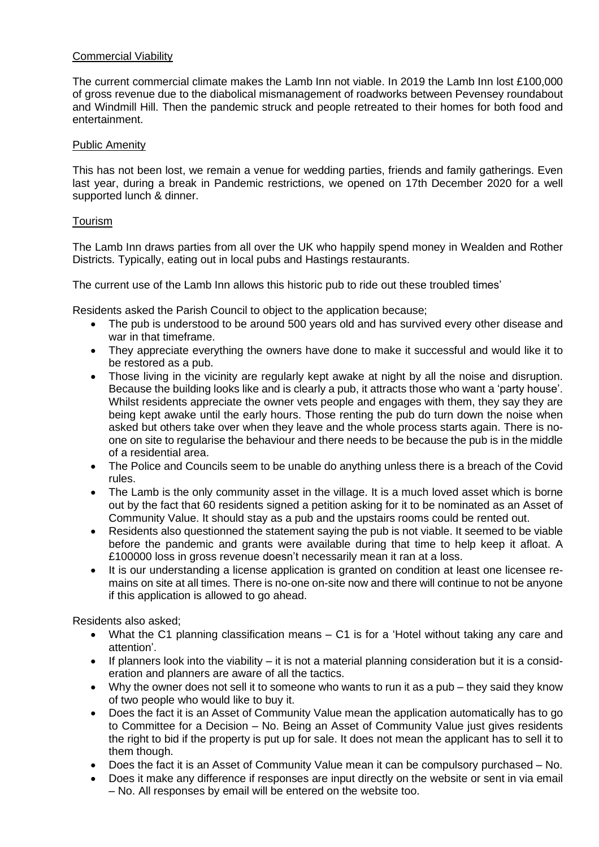# Commercial Viability

The current commercial climate makes the Lamb Inn not viable. In 2019 the Lamb Inn lost £100,000 of gross revenue due to the diabolical mismanagement of roadworks between Pevensey roundabout and Windmill Hill. Then the pandemic struck and people retreated to their homes for both food and entertainment.

# Public Amenity

This has not been lost, we remain a venue for wedding parties, friends and family gatherings. Even last year, during a break in Pandemic restrictions, we opened on 17th December 2020 for a well supported lunch & dinner.

# Tourism

The Lamb Inn draws parties from all over the UK who happily spend money in Wealden and Rother Districts. Typically, eating out in local pubs and Hastings restaurants.

The current use of the Lamb Inn allows this historic pub to ride out these troubled times'

Residents asked the Parish Council to object to the application because;

- The pub is understood to be around 500 years old and has survived every other disease and war in that timeframe.
- They appreciate everything the owners have done to make it successful and would like it to be restored as a pub.
- Those living in the vicinity are regularly kept awake at night by all the noise and disruption. Because the building looks like and is clearly a pub, it attracts those who want a 'party house'. Whilst residents appreciate the owner vets people and engages with them, they say they are being kept awake until the early hours. Those renting the pub do turn down the noise when asked but others take over when they leave and the whole process starts again. There is noone on site to regularise the behaviour and there needs to be because the pub is in the middle of a residential area.
- The Police and Councils seem to be unable do anything unless there is a breach of the Covid rules.
- The Lamb is the only community asset in the village. It is a much loved asset which is borne out by the fact that 60 residents signed a petition asking for it to be nominated as an Asset of Community Value. It should stay as a pub and the upstairs rooms could be rented out.
- Residents also questionned the statement saying the pub is not viable. It seemed to be viable before the pandemic and grants were available during that time to help keep it afloat. A £100000 loss in gross revenue doesn't necessarily mean it ran at a loss.
- It is our understanding a license application is granted on condition at least one licensee remains on site at all times. There is no-one on-site now and there will continue to not be anyone if this application is allowed to go ahead.

Residents also asked;

- What the C1 planning classification means C1 is for a 'Hotel without taking any care and attention'.
- If planners look into the viability it is not a material planning consideration but it is a consideration and planners are aware of all the tactics.
- Why the owner does not sell it to someone who wants to run it as a pub they said they know of two people who would like to buy it.
- Does the fact it is an Asset of Community Value mean the application automatically has to go to Committee for a Decision – No. Being an Asset of Community Value just gives residents the right to bid if the property is put up for sale. It does not mean the applicant has to sell it to them though.
- Does the fact it is an Asset of Community Value mean it can be compulsory purchased No.
- Does it make any difference if responses are input directly on the website or sent in via email – No. All responses by email will be entered on the website too.